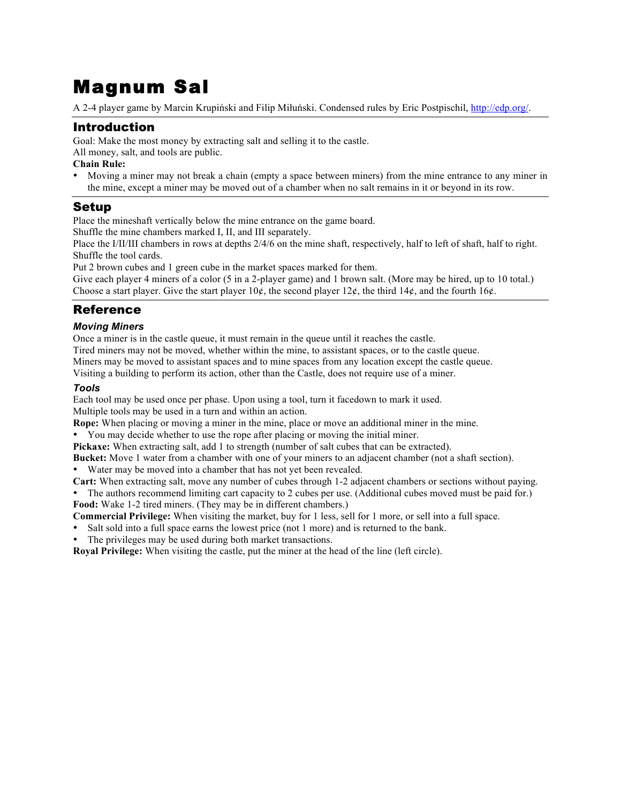# Magnum Sal

A 2-4 player game by Marcin Krupiński and Filip Miłuński. Condensed rules by Eric Postpischil, http://edp.org/.

## Introduction

Goal: Make the most money by extracting salt and selling it to the castle.

All money, salt, and tools are public.

#### **Chain Rule:**

• Moving a miner may not break a chain (empty a space between miners) from the mine entrance to any miner in the mine, except a miner may be moved out of a chamber when no salt remains in it or beyond in its row.

## Setup

Place the mineshaft vertically below the mine entrance on the game board.

Shuffle the mine chambers marked I, II, and III separately.

Place the I/II/III chambers in rows at depths 2/4/6 on the mine shaft, respectively, half to left of shaft, half to right. Shuffle the tool cards.

Put 2 brown cubes and 1 green cube in the market spaces marked for them.

Give each player 4 miners of a color (5 in a 2-player game) and 1 brown salt. (More may be hired, up to 10 total.) Choose a start player. Give the start player  $10¢$ , the second player  $12¢$ , the third  $14¢$ , and the fourth  $16¢$ .

# Reference

### *Moving Miners*

Once a miner is in the castle queue, it must remain in the queue until it reaches the castle.

Tired miners may not be moved, whether within the mine, to assistant spaces, or to the castle queue. Miners may be moved to assistant spaces and to mine spaces from any location except the castle queue.

Visiting a building to perform its action, other than the Castle, does not require use of a miner.

#### *Tools*

Each tool may be used once per phase. Upon using a tool, turn it facedown to mark it used. Multiple tools may be used in a turn and within an action.

**Rope:** When placing or moving a miner in the mine, place or move an additional miner in the mine.

• You may decide whether to use the rope after placing or moving the initial miner.

Pickaxe: When extracting salt, add 1 to strength (number of salt cubes that can be extracted).

**Bucket:** Move 1 water from a chamber with one of your miners to an adjacent chamber (not a shaft section).

• Water may be moved into a chamber that has not yet been revealed.

**Cart:** When extracting salt, move any number of cubes through 1-2 adjacent chambers or sections without paying.

• The authors recommend limiting cart capacity to 2 cubes per use. (Additional cubes moved must be paid for.) **Food:** Wake 1-2 tired miners. (They may be in different chambers.)

**Commercial Privilege:** When visiting the market, buy for 1 less, sell for 1 more, or sell into a full space.

Salt sold into a full space earns the lowest price (not 1 more) and is returned to the bank.

The privileges may be used during both market transactions.

**Royal Privilege:** When visiting the castle, put the miner at the head of the line (left circle).